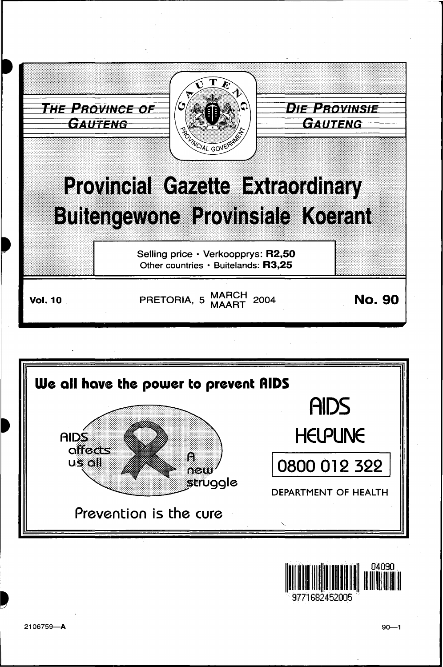





9771682452005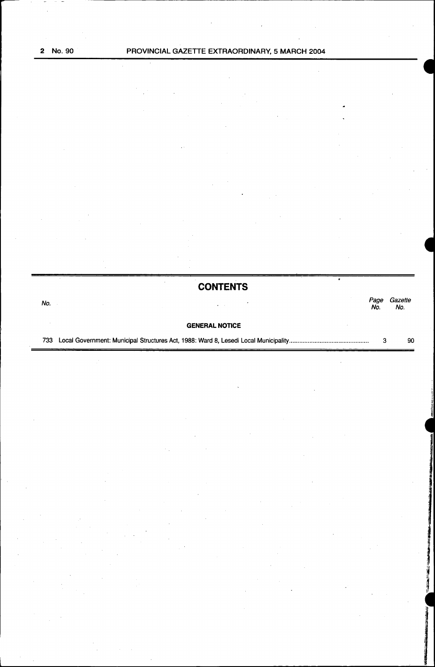|     | <b>CONTENTS</b>       |             |                |
|-----|-----------------------|-------------|----------------|
| No. | $\alpha$ . $\alpha$   | Page<br>No. | Gazette<br>No. |
|     | <b>GENERAL NOTICE</b> |             |                |
| 733 |                       | з           | 90             |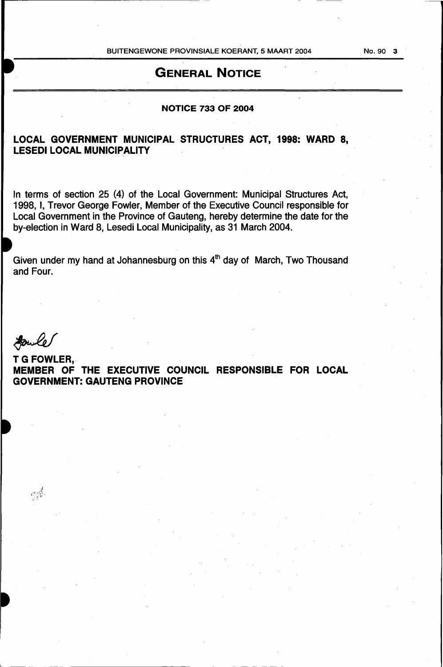BUITENGEWONE PROVINSIALE KOERANT, 5 MAART 2004

# GENERAL NOTICE

### NOTICE 733 OF 2004

## LOCAL GOVERNMENT MUNICIPAL STRUCTURES ACT, 1998: WARD 8, LESEDI LOCAL MUNICIPALITY

In terms of section 25 (4) of the Local Government: Municipal Structures Act, 1998, I, Trevor George Fowler, Member of the Executive Council responsible for Local Government in the Province of Gauteng, hereby determine the date for the by-election in Ward 8, Lesedi Local Municipality, as 31 March 2004.

Given under my hand at Johannesburg on this  $4<sup>th</sup>$  day of March, Two Thousand and Four.

 $\mathcal{L}_{\mathcal{F}}^{\mathcal{G}_{\mathcal{F}}}(\mathbf{f}_{\mathbf{u}}^{\mathcal{G}})$ 

 $\mathbb{L}$ 

**Fowle**<br>T G FOWLER, MEMBER OF THE EXECUTIVE COUNCIL RESPONSIBLE FOR LOCAL GOVERNMENT: GAUTENG PROVINCE